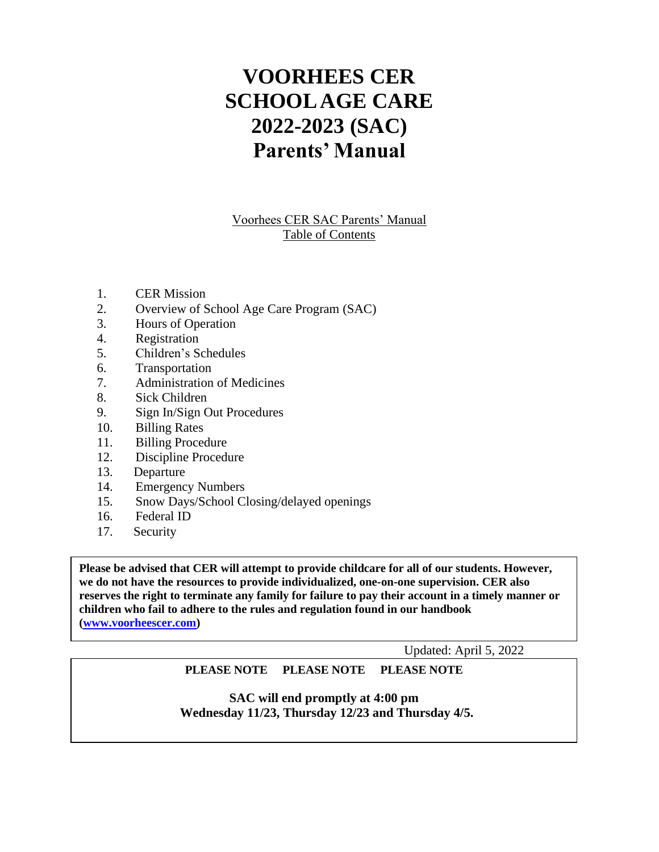# **VOORHEES CER SCHOOL AGE CARE 2022-2023 (SAC) Parents' Manual**

Voorhees CER SAC Parents' Manual Table of Contents

- 1. CER Mission
- 2. Overview of School Age Care Program (SAC)
- 3. Hours of Operation
- 4. Registration
- 5. Children's Schedules
- 6. Transportation
- 7. Administration of Medicines
- 8. Sick Children
- 9. Sign In/Sign Out Procedures
- 10. Billing Rates
- 11. Billing Procedure
- 12. Discipline Procedure
- 13. Departure
- 14. Emergency Numbers
- 15. Snow Days/School Closing/delayed openings
- 16. Federal ID
- 17. Security

**Please be advised that CER will attempt to provide childcare for all of our students. However, we do not have the resources to provide individualized, one-on-one supervision. CER also reserves the right to terminate any family for failure to pay their account in a timely manner or children who fail to adhere to the rules and regulation found in our handbook [\(www.voorheescer.com\)](http://www.voorheescer.com/)** 

Updated: April 5, 2022

## **PLEASE NOTE PLEASE NOTE PLEASE NOTE**

**SAC will end promptly at 4:00 pm Wednesday 11/23, Thursday 12/23 and Thursday 4/5.**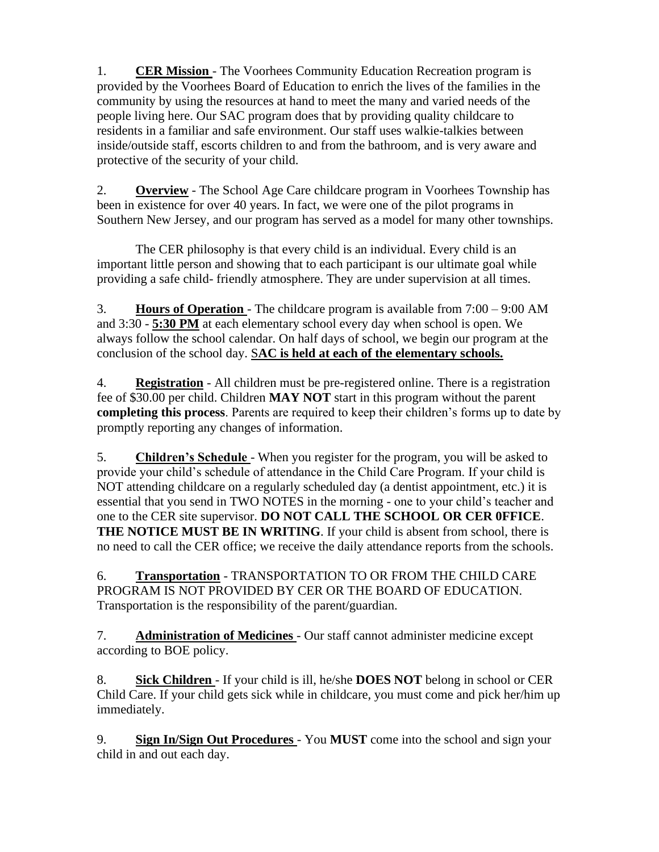1. **CER Mission** - The Voorhees Community Education Recreation program is provided by the Voorhees Board of Education to enrich the lives of the families in the community by using the resources at hand to meet the many and varied needs of the people living here. Our SAC program does that by providing quality childcare to residents in a familiar and safe environment. Our staff uses walkie-talkies between inside/outside staff, escorts children to and from the bathroom, and is very aware and protective of the security of your child.

2. **Overview** - The School Age Care childcare program in Voorhees Township has been in existence for over 40 years. In fact, we were one of the pilot programs in Southern New Jersey, and our program has served as a model for many other townships.

The CER philosophy is that every child is an individual. Every child is an important little person and showing that to each participant is our ultimate goal while providing a safe child- friendly atmosphere. They are under supervision at all times.

3. **Hours of Operation** - The childcare program is available from 7:00 – 9:00 AM and 3:30 - **5:30 PM** at each elementary school every day when school is open. We always follow the school calendar. On half days of school, we begin our program at the conclusion of the school day. S**AC is held at each of the elementary schools.**

4. **Registration** - All children must be pre-registered online. There is a registration fee of \$30.00 per child. Children **MAY NOT** start in this program without the parent **completing this process**. Parents are required to keep their children's forms up to date by promptly reporting any changes of information.

5. **Children's Schedule** - When you register for the program, you will be asked to provide your child's schedule of attendance in the Child Care Program. If your child is NOT attending childcare on a regularly scheduled day (a dentist appointment, etc.) it is essential that you send in TWO NOTES in the morning - one to your child's teacher and one to the CER site supervisor. **DO NOT CALL THE SCHOOL OR CER 0FFICE**. **THE NOTICE MUST BE IN WRITING**. If your child is absent from school, there is no need to call the CER office; we receive the daily attendance reports from the schools.

6. **Transportation** - TRANSPORTATION TO OR FROM THE CHILD CARE PROGRAM IS NOT PROVIDED BY CER OR THE BOARD OF EDUCATION. Transportation is the responsibility of the parent/guardian.

7. **Administration of Medicines** - Our staff cannot administer medicine except according to BOE policy.

8. **Sick Children** - If your child is ill, he/she **DOES NOT** belong in school or CER Child Care. If your child gets sick while in childcare, you must come and pick her/him up immediately.

9. **Sign In/Sign Out Procedures** - You **MUST** come into the school and sign your child in and out each day.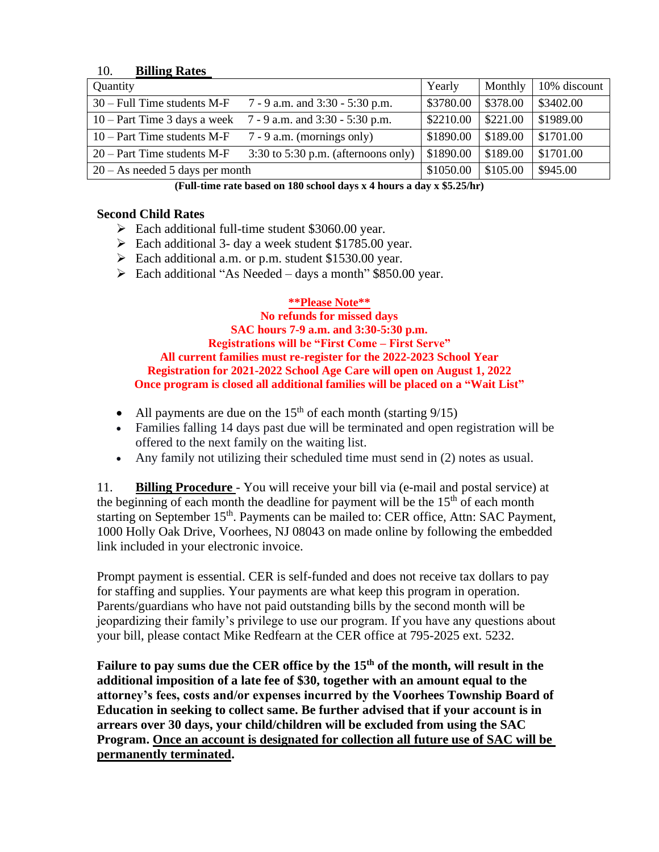#### 10. **Billing Rates**

| Quantity                          |                                         | Yearly    | Monthly  | 10% discount |
|-----------------------------------|-----------------------------------------|-----------|----------|--------------|
| $30 - Full$ Time students M-F     | 7 - 9 a.m. and 3:30 - 5:30 p.m.         | \$3780.00 | \$378.00 | \$3402.00    |
| $10 - Part$ Time 3 days a week    | 7 - 9 a.m. and 3:30 - 5:30 p.m.         | \$2210.00 | \$221.00 | \$1989.00    |
| $10 - Part$ Time students M-F     | $7 - 9$ a.m. (mornings only)            | \$1890.00 | \$189.00 | \$1701.00    |
| $20 - Part$ Time students M-F     | $3:30$ to $5:30$ p.m. (afternoons only) | \$1890.00 | \$189.00 | \$1701.00    |
| $20 - As needed 5 days per month$ |                                         |           | \$105.00 | \$945.00     |

**(Full-time rate based on 180 school days x 4 hours a day x \$5.25/hr)**

## **Second Child Rates**

- ➢ Each additional full-time student \$3060.00 year.
- ➢ Each additional 3- day a week student \$1785.00 year.
- ➢ Each additional a.m. or p.m. student \$1530.00 year.
- ➢ Each additional "As Needed days a month" \$850.00 year.

## **\*\*Please Note\*\***

**No refunds for missed days SAC hours 7-9 a.m. and 3:30-5:30 p.m. Registrations will be "First Come – First Serve" All current families must re-register for the 2022-2023 School Year Registration for 2021-2022 School Age Care will open on August 1, 2022 Once program is closed all additional families will be placed on a "Wait List"**

- All payments are due on the  $15<sup>th</sup>$  of each month (starting  $9/15$ )
- Families falling 14 days past due will be terminated and open registration will be offered to the next family on the waiting list.
- Any family not utilizing their scheduled time must send in (2) notes as usual.

11. **Billing Procedure** - You will receive your bill via (e-mail and postal service) at the beginning of each month the deadline for payment will be the  $15<sup>th</sup>$  of each month starting on September 15<sup>th</sup>. Payments can be mailed to: CER office, Attn: SAC Payment, 1000 Holly Oak Drive, Voorhees, NJ 08043 on made online by following the embedded link included in your electronic invoice.

Prompt payment is essential. CER is self-funded and does not receive tax dollars to pay for staffing and supplies. Your payments are what keep this program in operation. Parents/guardians who have not paid outstanding bills by the second month will be jeopardizing their family's privilege to use our program. If you have any questions about your bill, please contact Mike Redfearn at the CER office at 795-2025 ext. 5232.

Failure to pay sums due the CER office by the 15<sup>th</sup> of the month, will result in the **additional imposition of a late fee of \$30, together with an amount equal to the attorney's fees, costs and/or expenses incurred by the Voorhees Township Board of Education in seeking to collect same. Be further advised that if your account is in arrears over 30 days, your child/children will be excluded from using the SAC Program. Once an account is designated for collection all future use of SAC will be permanently terminated.**